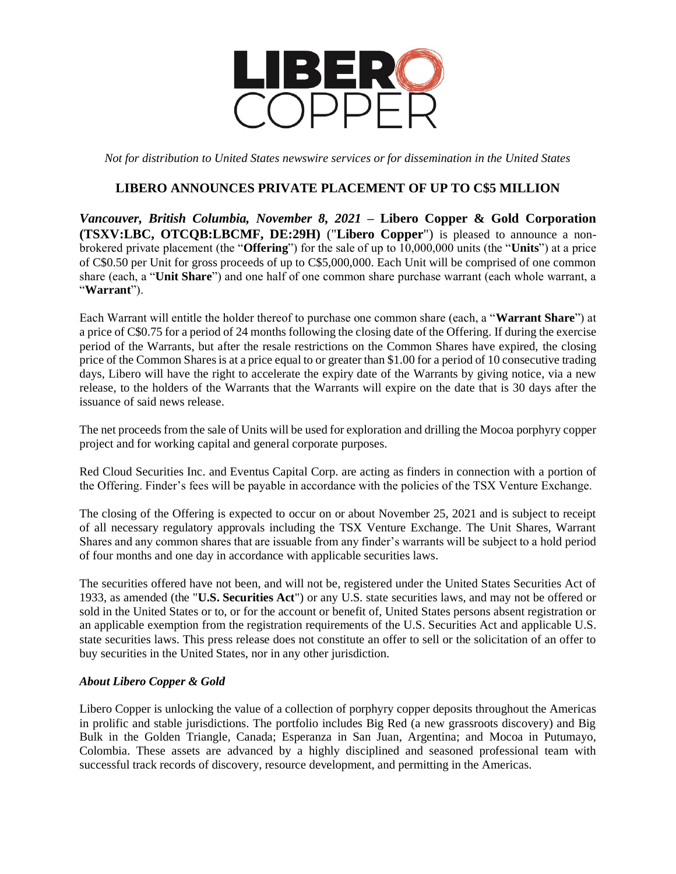

*Not for distribution to United States newswire services or for dissemination in the United States*

## **LIBERO ANNOUNCES PRIVATE PLACEMENT OF UP TO C\$5 MILLION**

*Vancouver, British Columbia, November 8, 2021* **– Libero Copper & Gold Corporation (TSXV:LBC, OTCQB:LBCMF, DE:29H)** ("**Libero Copper**") is pleased to announce a nonbrokered private placement (the "**Offering**") for the sale of up to 10,000,000 units (the "**Units**") at a price of C\$0.50 per Unit for gross proceeds of up to C\$5,000,000. Each Unit will be comprised of one common share (each, a "**Unit Share**") and one half of one common share purchase warrant (each whole warrant, a "**Warrant**").

Each Warrant will entitle the holder thereof to purchase one common share (each, a "**Warrant Share**") at a price of C\$0.75 for a period of 24 months following the closing date of the Offering. If during the exercise period of the Warrants, but after the resale restrictions on the Common Shares have expired, the closing price of the Common Shares is at a price equal to or greater than \$1.00 for a period of 10 consecutive trading days, Libero will have the right to accelerate the expiry date of the Warrants by giving notice, via a new release, to the holders of the Warrants that the Warrants will expire on the date that is 30 days after the issuance of said news release.

The net proceeds from the sale of Units will be used for exploration and drilling the Mocoa porphyry copper project and for working capital and general corporate purposes.

Red Cloud Securities Inc. and Eventus Capital Corp. are acting as finders in connection with a portion of the Offering. Finder's fees will be payable in accordance with the policies of the TSX Venture Exchange.

The closing of the Offering is expected to occur on or about November 25, 2021 and is subject to receipt of all necessary regulatory approvals including the TSX Venture Exchange. The Unit Shares, Warrant Shares and any common shares that are issuable from any finder's warrants will be subject to a hold period of four months and one day in accordance with applicable securities laws.

The securities offered have not been, and will not be, registered under the United States Securities Act of 1933, as amended (the "**U.S. Securities Act**") or any U.S. state securities laws, and may not be offered or sold in the United States or to, or for the account or benefit of, United States persons absent registration or an applicable exemption from the registration requirements of the U.S. Securities Act and applicable U.S. state securities laws. This press release does not constitute an offer to sell or the solicitation of an offer to buy securities in the United States, nor in any other jurisdiction.

## *About Libero Copper & Gold*

Libero Copper is unlocking the value of a collection of porphyry copper deposits throughout the Americas in prolific and stable jurisdictions. The portfolio includes Big Red (a new grassroots discovery) and Big Bulk in the Golden Triangle, Canada; Esperanza in San Juan, Argentina; and Mocoa in Putumayo, Colombia. These assets are advanced by a highly disciplined and seasoned professional team with successful track records of discovery, resource development, and permitting in the Americas.